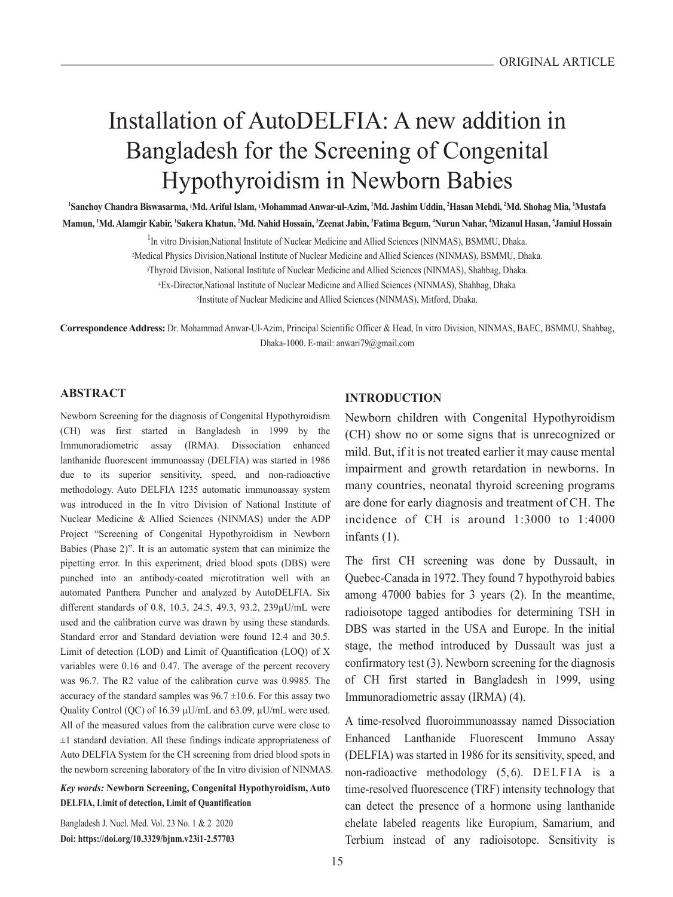# Installation of AutoDELFIA: A new addition in Bangladesh for the Screening of Congenital Hypothyroidism in Newborn Babies

**1 Sanchoy Chandra Biswasarma, 1Md. Ariful Islam, 1Mohammad Anwar-ul-Azim, 1 Md. Jashim Uddin, 2 Hasan Mehdi, 2 Md. Shohag Mia, 1 Mustafa**  Mamun, 'Md. Alamgir Kabir, 'Sakera Khatun, <sup>2</sup>Md. Nahid Hossain, <sup>3</sup>Zeenat Jabin, <sup>3</sup>Fatima Begum, 'Nurun Nahar, 'Mizanul Hasan, <sup>5</sup>Jamiul Hossain

<sup>1</sup>In vitro Division, National Institute of Nuclear Medicine and Allied Sciences (NINMAS), BSMMU, Dhaka.

2Medical Physics Division,National Institute of Nuclear Medicine and Allied Sciences (NINMAS), BSMMU, Dhaka.

3Thyroid Division, National Institute of Nuclear Medicine and Allied Sciences (NINMAS), Shahbag, Dhaka.

4Ex-Director,National Institute of Nuclear Medicine and Allied Sciences (NINMAS), Shahbag, Dhaka

5Institute of Nuclear Medicine and Allied Sciences (NINMAS), Mitford, Dhaka.

**Correspondence Address:** Dr. Mohammad Anwar-Ul-Azim, Principal Scientific Officer & Head, In vitro Division, NINMAS, BAEC, BSMMU, Shahbag, Dhaka-1000. E-mail: anwari79@gmail.com

# **ABSTRACT**

Newborn Screening for the diagnosis of Congenital Hypothyroidism (CH) was first started in Bangladesh in 1999 by the Immunoradiometric assay (IRMA). Dissociation enhanced lanthanide fluorescent immunoassay (DELFIA) was started in 1986 due to its superior sensitivity, speed, and non-radioactive methodology. Auto DELFIA 1235 automatic immunoassay system was introduced in the In vitro Division of National Institute of Nuclear Medicine & Allied Sciences (NINMAS) under the ADP Project "Screening of Congenital Hypothyroidism in Newborn Babies (Phase 2)". It is an automatic system that can minimize the pipetting error. In this experiment, dried blood spots (DBS) were punched into an antibody-coated microtitration well with an automated Panthera Puncher and analyzed by AutoDELFIA. Six different standards of 0.8, 10.3, 24.5, 49.3, 93.2, 239µU/mL were used and the calibration curve was drawn by using these standards. Standard error and Standard deviation were found 12.4 and 30.5. Limit of detection (LOD) and Limit of Quantification (LOQ) of X variables were 0.16 and 0.47. The average of the percent recovery was 96.7. The R2 value of the calibration curve was 0.9985. The accuracy of the standard samples was  $96.7 \pm 10.6$ . For this assay two Quality Control (QC) of 16.39 µU/mL and 63.09, µU/mL were used. All of the measured values from the calibration curve were close to ±1 standard deviation. All these findings indicate appropriateness of Auto DELFIA System for the CH screening from dried blood spots in the newborn screening laboratory of the In vitro division of NINMAS.

*Key words:* **Newborn Screening, Congenital Hypothyroidism, Auto DELFIA, Limit of detection, Limit of Quantification**

Bangladesh J. Nucl. Med. Vol. 23 No. 1 & 2 2020 **Doi: https://doi.org/10.3329/bjnm.v23i1-2.57703** 

## **INTRODUCTION**

Newborn children with Congenital Hypothyroidism (CH) show no or some signs that is unrecognized or mild. But, if it is not treated earlier it may cause mental impairment and growth retardation in newborns. In many countries, neonatal thyroid screening programs are done for early diagnosis and treatment of CH. The incidence of CH is around 1:3000 to 1:4000 infants (1).

The first CH screening was done by Dussault, in Quebec-Canada in 1972. They found 7 hypothyroid babies among 47000 babies for 3 years (2). In the meantime, radioisotope tagged antibodies for determining TSH in DBS was started in the USA and Europe. In the initial stage, the method introduced by Dussault was just a confirmatory test (3). Newborn screening for the diagnosis of CH first started in Bangladesh in 1999, using Immunoradiometric assay (IRMA) (4).

A time-resolved fluoroimmunoassay named Dissociation Enhanced Lanthanide Fluorescent Immuno Assay (DELFIA) was started in 1986 for its sensitivity, speed, and non-radioactive methodology (5,6). DELFIA is a time-resolved fluorescence (TRF) intensity technology that can detect the presence of a hormone using lanthanide chelate labeled reagents like Europium, Samarium, and Terbium instead of any radioisotope. Sensitivity is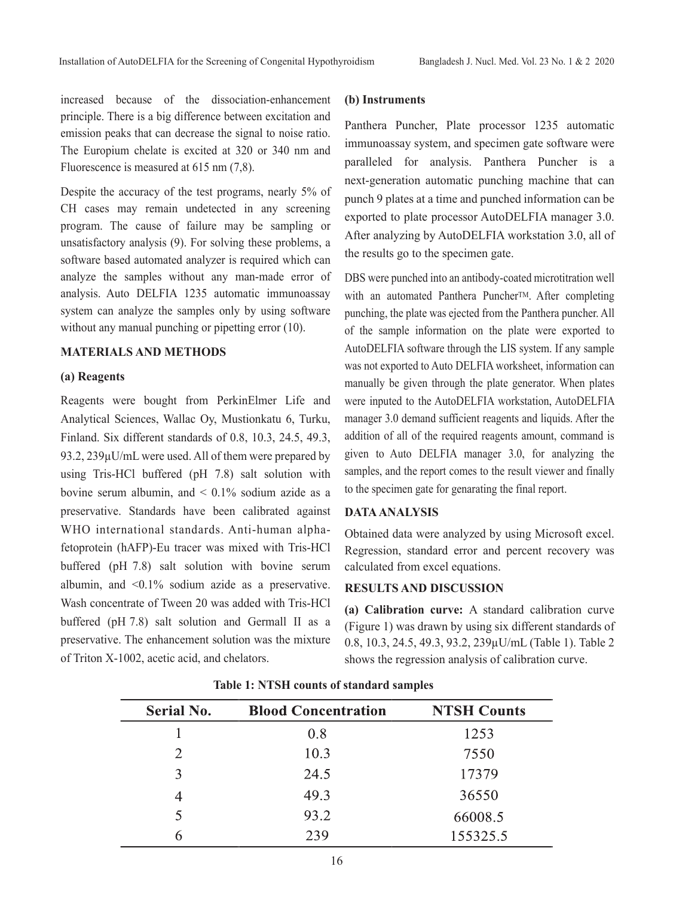increased because of the dissociation-enhancement principle. There is a big difference between excitation and emission peaks that can decrease the signal to noise ratio. The Europium chelate is excited at 320 or 340 nm and Fluorescence is measured at 615 nm (7,8).

Despite the accuracy of the test programs, nearly 5% of CH cases may remain undetected in any screening program. The cause of failure may be sampling or unsatisfactory analysis (9). For solving these problems, a software based automated analyzer is required which can analyze the samples without any man-made error of analysis. Auto DELFIA 1235 automatic immunoassay system can analyze the samples only by using software without any manual punching or pipetting error (10).

# **MATERIALS AND METHODS**

### **(a) Reagents**

Reagents were bought from PerkinElmer Life and Analytical Sciences, Wallac Oy, Mustionkatu 6, Turku, Finland. Six different standards of 0.8, 10.3, 24.5, 49.3, 93.2, 239µU/mL were used. All of them were prepared by using Tris-HCl buffered (pH 7.8) salt solution with bovine serum albumin, and  $\leq 0.1\%$  sodium azide as a preservative. Standards have been calibrated against WHO international standards. Anti-human alphafetoprotein (hAFP)-Eu tracer was mixed with Tris-HCl buffered (pH 7.8) salt solution with bovine serum albumin, and <0.1% sodium azide as a preservative. Wash concentrate of Tween 20 was added with Tris-HCl buffered (pH 7.8) salt solution and Germall II as a preservative. The enhancement solution was the mixture of Triton X-1002, acetic acid, and chelators.

# **(b) Instruments**

Panthera Puncher, Plate processor 1235 automatic immunoassay system, and specimen gate software were paralleled for analysis. Panthera Puncher is a next-generation automatic punching machine that can punch 9 plates at a time and punched information can be exported to plate processor AutoDELFIA manager 3.0. After analyzing by AutoDELFIA workstation 3.0, all of the results go to the specimen gate.

DBS were punched into an antibody-coated microtitration well with an automated Panthera Puncher<sup>TM</sup>. After completing punching, the plate was ejected from the Panthera puncher. All of the sample information on the plate were exported to AutoDELFIA software through the LIS system. If any sample was not exported to Auto DELFIA worksheet, information can manually be given through the plate generator. When plates were inputed to the AutoDELFIA workstation, AutoDELFIA manager 3.0 demand sufficient reagents and liquids. After the addition of all of the required reagents amount, command is given to Auto DELFIA manager 3.0, for analyzing the samples, and the report comes to the result viewer and finally to the specimen gate for genarating the final report.

# **DATA ANALYSIS**

Obtained data were analyzed by using Microsoft excel. Regression, standard error and percent recovery was calculated from excel equations.

# **RESULTS AND DISCUSSION**

**(a) Calibration curve:** A standard calibration curve (Figure 1) was drawn by using six different standards of 0.8, 10.3, 24.5, 49.3, 93.2, 239µU/mL (Table 1). Table 2 shows the regression analysis of calibration curve.

| <b>Serial No.</b> | <b>Blood Concentration</b> | <b>NTSH Counts</b> |
|-------------------|----------------------------|--------------------|
|                   | 0.8                        | 1253               |
| 2                 | 10.3                       | 7550               |
| 3                 | 24.5                       | 17379              |
| 4                 | 49.3                       | 36550              |
|                   | 93.2                       | 66008.5            |
| 6                 | 239                        | 155325.5           |

#### **Table 1: NTSH counts of standard samples**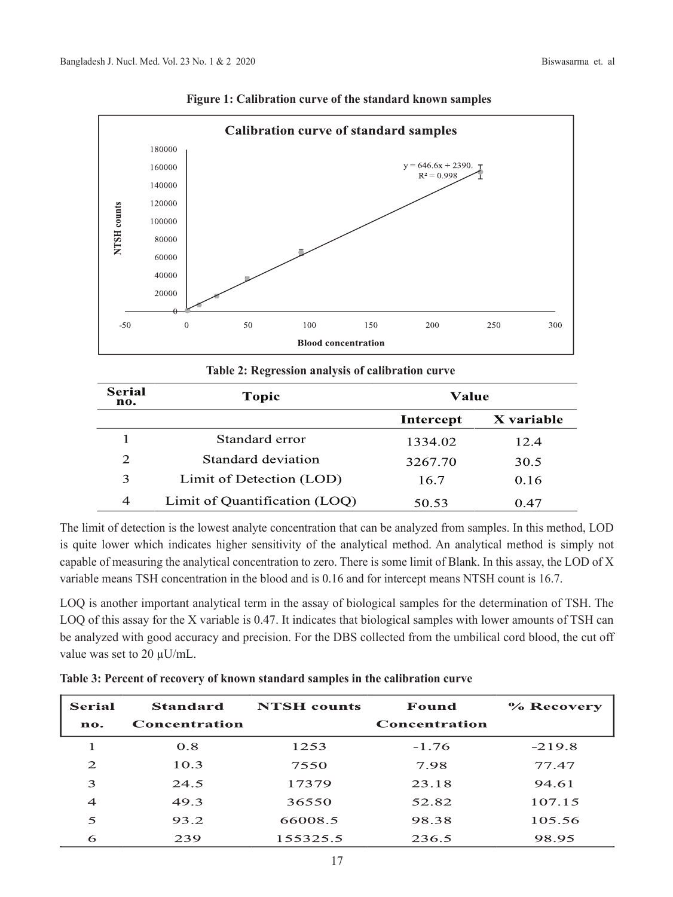

**Figure 1: Calibration curve of the standard known samples**

|  |  | Table 2: Regression analysis of calibration curve |  |
|--|--|---------------------------------------------------|--|
|  |  |                                                   |  |

| <b>Serial</b><br>no. | <b>Topic</b>                  | Value     |            |
|----------------------|-------------------------------|-----------|------------|
|                      |                               | Intercept | X variable |
|                      | Standard error                | 1334.02   | 12.4       |
| 2                    | Standard deviation            | 3267.70   | 30.5       |
| 3                    | Limit of Detection (LOD)      | 16.7      | 0.16       |
| $\overline{4}$       | Limit of Quantification (LOQ) | 50.53     | 0.47       |

The limit of detection is the lowest analyte concentration that can be analyzed from samples. In this method, LOD is quite lower which indicates higher sensitivity of the analytical method. An analytical method is simply not capable of measuring the analytical concentration to zero. There is some limit of Blank. In this assay, the LOD of X variable means TSH concentration in the blood and is 0.16 and for intercept means NTSH count is 16.7.

LOQ is another important analytical term in the assay of biological samples for the determination of TSH. The LOQ of this assay for the X variable is 0.47. It indicates that biological samples with lower amounts of TSH can be analyzed with good accuracy and precision. For the DBS collected from the umbilical cord blood, the cut off value was set to 20 µU/mL.

| <b>Serial</b><br>no. | <b>Standard</b><br>Concentration | <b>NTSH</b> counts | Found<br>Concentration | % Recovery |
|----------------------|----------------------------------|--------------------|------------------------|------------|
|                      | 0.8                              | 1253               | $-1.76$                | $-219.8$   |
| $\mathfrak{D}$       | 10.3                             | 7550               | 7.98                   | 77.47      |
| 3                    | 24.5                             | 17379              | 23.18                  | 94.61      |
| $\overline{4}$       | 49.3                             | 36550              | 52.82                  | 107.15     |
| 5                    | 93.2                             | 66008.5            | 98.38                  | 105.56     |
| 6                    | 239                              | 155325.5           | 236.5                  | 98.95      |

**Table 3: Percent of recovery of known standard samples in the calibration curve**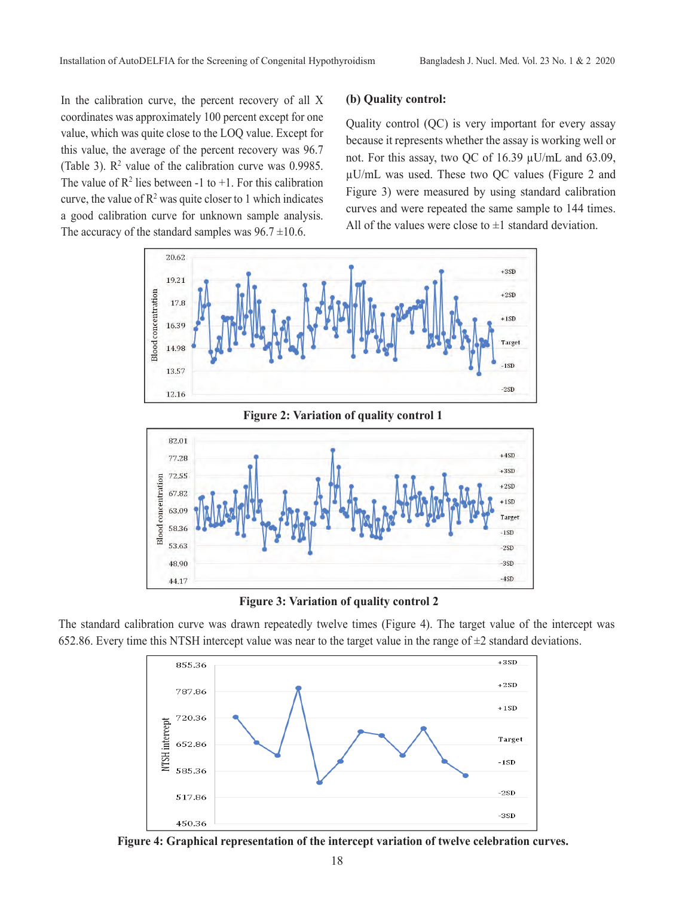In the calibration curve, the percent recovery of all X coordinates was approximately 100 percent except for one value, which was quite close to the LOQ value. Except for this value, the average of the percent recovery was 96.7 (Table 3).  $\mathbb{R}^2$  value of the calibration curve was 0.9985. The value of  $\mathbb{R}^2$  lies between -1 to +1. For this calibration curve, the value of  $\mathbb{R}^2$  was quite closer to 1 which indicates a good calibration curve for unknown sample analysis. The accuracy of the standard samples was  $96.7 \pm 10.6$ .

## **(b) Quality control:**

Quality control (QC) is very important for every assay because it represents whether the assay is working well or not. For this assay, two QC of 16.39 µU/mL and 63.09, µU/mL was used. These two QC values (Figure 2 and Figure 3) were measured by using standard calibration curves and were repeated the same sample to 144 times. All of the values were close to  $\pm 1$  standard deviation.





**Figure 3: Variation of quality control 2**

The standard calibration curve was drawn repeatedly twelve times (Figure 4). The target value of the intercept was 652.86. Every time this NTSH intercept value was near to the target value in the range of  $\pm 2$  standard deviations.



**Figure 4: Graphical representation of the intercept variation of twelve celebration curves.**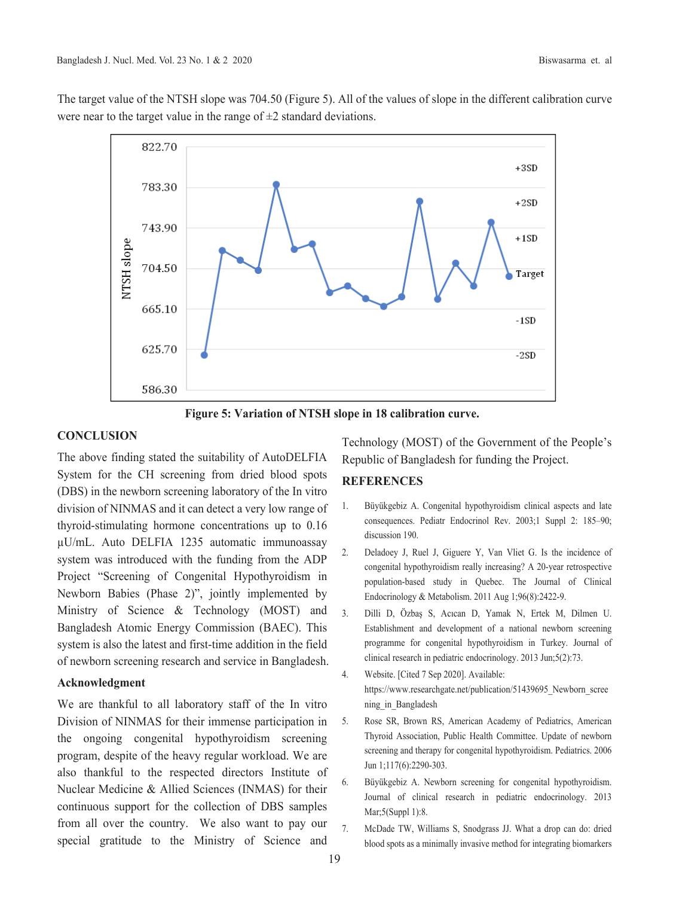The target value of the NTSH slope was 704.50 (Figure 5). All of the values of slope in the different calibration curve were near to the target value in the range of  $\pm 2$  standard deviations.



Figure 5: Variation of NTSH slope in 18 calibration curve.

## **CONCLUSION**

The above finding stated the suitability of AutoDELFIA System for the CH screening from dried blood spots (DBS) in the newborn screening laboratory of the Invitro division of NINMAS and it can detect a very low range of thyroid-stimulating hormone concentrations up to 0.16 µU/mL. Auto DELFIA 1235 automatic immunoassay system was introduced with the funding from the ADP Project "Screening of Congenital Hypothyroidism in Newborn Babies (Phase 2)", jointly implemented by Ministry of Science & Technology (MOST) and Bangladesh Atomic Energy Commission (BAEC). This system is also the latest and first-time addition in the field of newborn screening research and service in Bangladesh.

# Acknowledgment

We are thankful to all laboratory staff of the In vitro Division of NINMAS for their immense participation in the ongoing congenital hypothyroidism screening program, despite of the heavy regular workload. We are also thankful to the respected directors Institute of Nuclear Medicine & Allied Sciences (INMAS) for their continuous support for the collection of DBS samples from all over the country. We also want to pay our special gratitude to the Ministry of Science and

Technology (MOST) of the Government of the People's Republic of Bangladesh for funding the Project.

# **REFERENCES**

- Büyükgebiz A. Congenital hypothyroidism clinical aspects and late 1. consequences. Pediatr Endocrinol Rev. 2003;1 Suppl 2: 185-90; discussion 190.
- $2.$ Deladoey J, Ruel J, Giguere Y, Van Vliet G. Is the incidence of congenital hypothyroidism really increasing? A 20-year retrospective population-based study in Quebec. The Journal of Clinical Endocrinology & Metabolism. 2011 Aug 1;96(8):2422-9.
- $\overline{3}$ . Dilli D, Özbas S, Acıcan D, Yamak N, Ertek M, Dilmen U. Establishment and development of a national newborn screening programme for congenital hypothyroidism in Turkey. Journal of clinical research in pediatric endocrinology. 2013 Jun;5(2):73.
- $4.$ Website. [Cited 7 Sep 2020]. Available: https://www.researchgate.net/publication/51439695\_Newborn\_scree ning in Bangladesh
- 5. Rose SR, Brown RS, American Academy of Pediatrics, American Thyroid Association, Public Health Committee. Update of newborn screening and therapy for congenital hypothyroidism. Pediatrics. 2006 Jun 1;117(6):2290-303.
- 6. Büyükgebiz A. Newborn screening for congenital hypothyroidism. Journal of clinical research in pediatric endocrinology. 2013 Mar;5(Suppl 1):8.
- $\overline{7}$ . McDade TW, Williams S, Snodgrass JJ. What a drop can do: dried blood spots as a minimally invasive method for integrating biomarkers